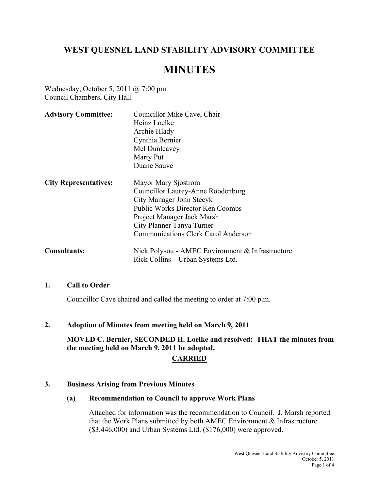# **WEST QUESNEL LAND STABILITY ADVISORY COMMITTEE**

# **MINUTES**

Wednesday, October 5, 2011 @ 7:00 pm Council Chambers, City Hall

| <b>Advisory Committee:</b>   | Councillor Mike Cave, Chair<br>Heinz Loelke<br>Archie Hlady<br>Cynthia Bernier<br>Mel Dunleavey<br>Marty Put<br>Duane Sauve                                                                                                              |
|------------------------------|------------------------------------------------------------------------------------------------------------------------------------------------------------------------------------------------------------------------------------------|
| <b>City Representatives:</b> | Mayor Mary Sjostrom<br>Councillor Laurey-Anne Roodenburg<br>City Manager John Stecyk<br><b>Public Works Director Ken Coombs</b><br>Project Manager Jack Marsh<br>City Planner Tanya Turner<br><b>Communications Clerk Carol Anderson</b> |
| <b>Consultants:</b>          | Nick Polysou - AMEC Environment & Infrastructure<br>Rick Collins – Urban Systems Ltd.                                                                                                                                                    |

#### **1. Call to Order**

Councillor Cave chaired and called the meeting to order at 7:00 p.m.

#### **2. Adoption of Minutes from meeting held on March 9, 2011**

**MOVED C. Bernier, SECONDED H. Loelke and resolved: THAT the minutes from the meeting held on March 9, 2011 be adopted.** 

#### **CARRIED**

#### **3. Business Arising from Previous Minutes**

#### **(a) Recommendation to Council to approve Work Plans**

Attached for information was the recommendation to Council. J. Marsh reported that the Work Plans submitted by both AMEC Environment & Infrastructure (\$3,446,000) and Urban Systems Ltd. (\$176,000) were approved.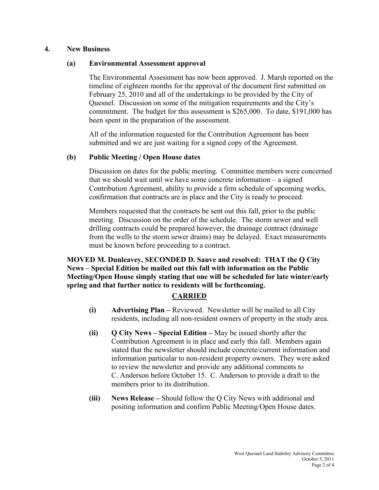## **4. New Business**

## **(a) Environmental Assessment approval**

The Environmental Assessment has now been approved. J. Marsh reported on the timeline of eighteen months for the approval of the document first submitted on February 25, 2010 and all of the undertakings to be provided by the City of Quesnel. Discussion on some of the mitigation requirements and the City's commitment. The budget for this assessment is \$265,000. To date, \$191,000 has been spent in the preparation of the assessment.

 All of the information requested for the Contribution Agreement has been submitted and we are just waiting for a signed copy of the Agreement.

## **(b) Public Meeting / Open House dates**

 Discussion on dates for the public meeting. Committee members were concerned that we should wait until we have some concrete information – a signed Contribution Agreement, ability to provide a firm schedule of upcoming works, confirmation that contracts are in place and the City is ready to proceed.

 Members requested that the contracts be sent out this fall, prior to the public meeting. Discussion on the order of the schedule. The storm sewer and well drilling contracts could be prepared however, the drainage contract (drainage from the wells to the storm sewer drains) may be delayed. Exact measurements must be known before proceeding to a contract.

**MOVED M. Dunleavey, SECONDED D. Sauve and resolved: THAT the Q City News – Special Edition be mailed out this fall with information on the Public Meeting/Open House simply stating that one will be scheduled for late winter/early spring and that further notice to residents will be forthcoming.** 

## **CARRIED**

- **(i) Advertising Plan** Reviewed. Newsletter will be mailed to all City residents, including all non-resident owners of property in the study area.
- **(ii) Q City News Special Edition** May be issued shortly after the Contribution Agreement is in place and early this fall. Members again stated that the newsletter should include concrete/current information and information particular to non-resident property owners. They were asked to review the newsletter and provide any additional comments to C. Anderson before October 15. C. Anderson to provide a draft to the members prior to its distribution.
- **(iii) News Release** Should follow the Q City News with additional and positing information and confirm Public Meeting/Open House dates.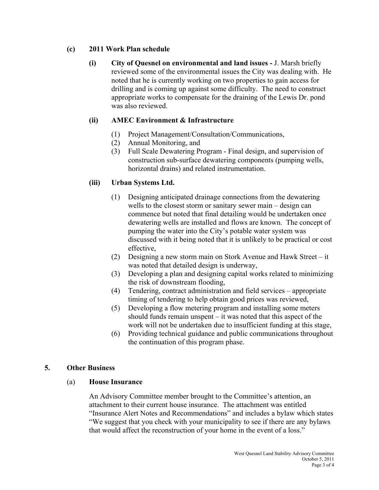## **(c) 2011 Work Plan schedule**

**(i) City of Quesnel on environmental and land issues -** J. Marsh briefly reviewed some of the environmental issues the City was dealing with. He noted that he is currently working on two properties to gain access for drilling and is coming up against some difficulty. The need to construct appropriate works to compensate for the draining of the Lewis Dr. pond was also reviewed.

# **(ii) AMEC Environment & Infrastructure**

- (1) Project Management/Consultation/Communications,
- (2) Annual Monitoring, and
- (3) Full Scale Dewatering Program Final design, and supervision of construction sub-surface dewatering components (pumping wells, horizontal drains) and related instrumentation.

# **(iii) Urban Systems Ltd.**

- (1) Designing anticipated drainage connections from the dewatering wells to the closest storm or sanitary sewer main – design can commence but noted that final detailing would be undertaken once dewatering wells are installed and flows are known. The concept of pumping the water into the City's potable water system was discussed with it being noted that it is unlikely to be practical or cost effective,
- (2) Designing a new storm main on Stork Avenue and Hawk Street it was noted that detailed design is underway,
- (3) Developing a plan and designing capital works related to minimizing the risk of downstream flooding,
- (4) Tendering, contract administration and field services appropriate timing of tendering to help obtain good prices was reviewed,
- (5) Developing a flow metering program and installing some meters should funds remain unspent – it was noted that this aspect of the work will not be undertaken due to insufficient funding at this stage,
- (6) Providing technical guidance and public communications throughout the continuation of this program phase.

# **5. Other Business**

# (a) **House Insurance**

An Advisory Committee member brought to the Committee's attention, an attachment to their current house insurance. The attachment was entitled "Insurance Alert Notes and Recommendations" and includes a bylaw which states "We suggest that you check with your municipality to see if there are any bylaws that would affect the reconstruction of your home in the event of a loss."